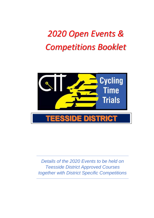# *2020 Open Events & Competitions Booklet*



*Details of the 2020 Events to be held on Teesside District Approved Courses together with District Specific Competitions*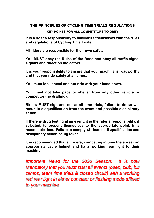## **THE PRINCIPLES OF CYCLING TIME TRIALS REGULATIONS**

### **KEY POINTS FOR ALL COMPETITORS TO OBEY**

**It is a rider's responsibility to familiarize themselves with the rules and regulations of Cycling Time Trials** 

**All riders are responsible for their own safety.** 

**You MUST obey the Rules of the Road and obey all traffic signs, signals and direction indicators.** 

**It is your responsibility to ensure that your machine is roadworthy and that you ride safely at all times.** 

**You must look ahead and not ride with your head down.** 

**You must not take pace or shelter from any other vehicle or competitor (no drafting).** 

**Riders MUST sign and out at all time trials, failure to do so will result in disqualification from the event and possible disciplinary action.** 

**If there is drug testing at an event, it is the rider's responsibility, if selected, to present themselves to the appropriate point, in a reasonable time. Failure to comply will lead to disqualification and disciplinary action being taken.** 

**It is recommended that all riders, competing in time trials wear an appropriate cycle helmet and fix a working rear light to their machine.** 

*Important News for the 2020 Season: It is now Mandatory that you must start all events (open, club, hill climbs, team time trials & closed circuit) with a working red rear light in either constant or flashing mode affixed to your machine*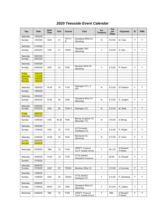# *2020 Teesside Event Calendar*

| Day                       | <b>Date</b>          | <b>Start</b><br><b>Time</b> | <b>Dist</b>     | Course           | Club                                           | Inc<br><b>Tandems</b> | Fee<br>per<br>Rider | Organizer               | IE. | R/Bk |
|---------------------------|----------------------|-----------------------------|-----------------|------------------|------------------------------------------------|-----------------------|---------------------|-------------------------|-----|------|
| Saturday                  | 14/03/20             |                             |                 |                  |                                                |                       |                     |                         |     |      |
| Sunday                    | 15/03/20             | 9:00                        | 21              | T211/1<br>R      | Cleveland Whls CC<br>(Sporting)                | N                     | £12.00              | M. Cole                 | Y   | Y    |
| Saturday                  | 21/03/20             |                             |                 |                  |                                                |                       |                     |                         |     |      |
| Sunday                    | 22/03/20             | 9:00                        | 21              | T244/1           | <b>Teesdale CRC</b><br>(Sporting)              | Y                     | £12.00              | D. Gee                  | Y   | Y    |
| Saturday                  | 28/03/20             |                             |                 |                  |                                                |                       |                     |                         |     |      |
| Sunday                    | 29/03/20             |                             |                 |                  |                                                |                       |                     |                         |     |      |
|                           |                      |                             |                 |                  |                                                |                       |                     |                         |     |      |
| Saturday                  | 04/04/20             |                             |                 |                  | Stockton Whls CC                               |                       |                     |                         |     |      |
| Sunday                    | 05/04/20             | 9:00                        | 23              | T235             | (Sporting)                                     | Y                     | £12.00              | P. Kitson               | Y   | Y    |
| Friday                    | 10/04/20             |                             |                 |                  |                                                |                       |                     |                         |     |      |
| <b>Saturday</b><br>Sunday | 11/04/20<br>12/04/20 |                             |                 |                  |                                                |                       |                     |                         |     |      |
| <b>Monday</b>             | 13/04/20             |                             |                 |                  |                                                |                       |                     |                         |     |      |
|                           |                      |                             |                 |                  |                                                |                       |                     |                         |     |      |
| Saturday                  | 18/04/20             | 14:00                       | 10              | T103             | Darlington CC (2<br>UP)                        | N                     | £12.00              | S Fullerton             | Y   | Y    |
| Sunday                    | 19/04/20             |                             |                 |                  |                                                |                       |                     |                         |     |      |
| Saturday                  | 25/04/20             |                             |                 |                  |                                                |                       |                     |                         |     |      |
| Sunday                    | 26/04/20             | 10:00                       | 25              | T256             | Cleveland Whls CC<br>(Sporting)                | N                     | £12.00              | S. Joughin              | Υ   | Y    |
| Saturday                  | 02/05/20             |                             |                 |                  |                                                |                       |                     |                         |     |      |
| Sunday                    | 03/05/20             | 9:00                        | 25              | T254/1           | Darlington CC                                  | N                     | £12.00              | M. Steer                | Υ   | Υ    |
| Friday                    | 08/05/20             |                             |                 |                  |                                                |                       |                     |                         |     |      |
| Saturday                  | 09/05/20             |                             |                 |                  |                                                |                       |                     |                         |     |      |
| Sunday                    | 10/05/20             | 9:00                        | 40.35           | T405             | <b>Bishop Auckland CC</b><br>(Mountain TT)     | N                     | £10.00              | A Strong                | Y   | Y    |
| Saturday                  | 16/05/20             |                             |                 |                  |                                                |                       |                     |                         |     |      |
| Sunday                    | 17/05/20             | 9:00                        | 10              | T <sub>107</sub> | (VTTA North)<br>Hartlepool CC                  | Y                     | £12.00              | P. Wright               | Y   | Y    |
| Saturday                  | 23/05/20             | 10:00                       | 24              | T243             | Richmond CC<br>(Sporting)                      | Ν                     | £12.00              | D. Clark                | Y   | Υ    |
| Sunday                    | 24/05/20             |                             |                 |                  |                                                |                       |                     |                         |     |      |
| <mark>Monday</mark>       | 25/05/20             |                             |                 |                  |                                                |                       |                     |                         |     |      |
| Wed'sday                  | 27/05/20             | <b>TBA</b>                  | 10              | <b>T10C</b>      | <b>CROFT</b> "Come &<br>Try It" Closed Circuit | Y                     | £8/£5               | G Russell /<br>P Kitson | Y   | Y    |
| Saturday                  | 30/05/20             | 14:00                       | 10              | T104             | VTTA (North)/<br><b>Cleveland Coureurs</b>     | Y                     | £8.00               | G. Russell              | Υ   | Y    |
| Sunday                    | 31/05/20             |                             |                 |                  |                                                |                       |                     |                         |     |      |
| Saturday                  | 06/06/20             |                             |                 |                  |                                                |                       |                     |                         |     |      |
| Sunday                    | 07/06/20             | 8:00                        | $\overline{25}$ | T252/3           | Stockton Whls CC                               | Ϋ                     | £12.00              | J Corcoran              | Υ   | Y    |
| Saturday                  | 13/06/20             |                             |                 |                  |                                                |                       |                     |                         |     |      |
| Sunday                    | 14/06/20             | 8:00                        | 25              | T252/3           | VTTA (North)/<br>Hartlepool CC                 | Y                     | £12.00              | P. Garstang             | Υ   | Y    |
| Saturday                  | 20/06/20             |                             |                 |                  |                                                |                       |                     |                         |     |      |
| Sunday                    | 21/06/20             | 09:00                       | 25              | T255             | Cleveland Whls CC<br>(Sporting)                | Y                     | £13.00              | R. Lilleker             | Υ   | Y    |
|                           |                      |                             |                 |                  |                                                |                       |                     |                         |     |      |
| Wed'sday                  | 24/06/20             | TBA                         | 10              | <b>T10C</b>      | <b>CROFT</b> "Come &<br>Try It" Closed Circuit | Y                     | <b>TBA</b>          | G Russell /<br>P Kitson | Y   | Y    |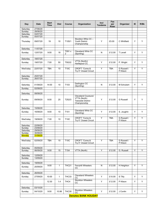| Day                               | <b>Date</b>          | <b>Start</b><br><b>Time</b> | <b>Dist</b> | <b>Course</b>    | Organization                                                                    | Incl<br><b>Tandems</b> | Fee<br>per<br>Rider | Organizer               | IE | R/Bk |
|-----------------------------------|----------------------|-----------------------------|-------------|------------------|---------------------------------------------------------------------------------|------------------------|---------------------|-------------------------|----|------|
| Saturday                          | 27/06/20             |                             |             |                  |                                                                                 |                        |                     |                         |    |      |
| Sunday                            | 28/06/20<br>04/07/20 |                             |             |                  |                                                                                 |                        |                     |                         |    |      |
| Saturday<br>Sunday                | 05/07/20             |                             |             |                  |                                                                                 |                        |                     |                         |    |      |
| Thursday                          | 09/07/20             | 19                          | 10          | T105/1           | Stockton Whls CC -<br><b>Youth District</b><br>Championship                     | Y                      | £5.00               | C Whitfield             | Y  | Y    |
|                                   |                      |                             |             |                  |                                                                                 |                        |                     |                         |    |      |
| Saturday                          | 11/07/20             |                             |             | T091 x           | <b>Cleveland Whls CC</b>                                                        |                        |                     |                         |    |      |
| Sunday                            | 12/07/20             | 9:00                        | 18          | 2                | (Sporting)                                                                      | N                      | £12.00              | T Levell                | Y  | Y    |
| Saturday                          | 18/07/20             |                             |             |                  |                                                                                 |                        |                     |                         |    |      |
| Sunday                            | 19/07/20             | 7:00                        | 50          | T502/2           | VTTA (North)/<br>Hartlepool CC                                                  | Y                      | £12.00              | P. Wright               | Y  | Y    |
| Wed'sday                          | 22/07/20             | <b>TBA</b>                  | 10          | <b>T10C</b>      | <b>CROFT</b> "Come &<br>Try It" Closed Circuit                                  | Y                      | <b>TBA</b>          | G Russell /<br>P Kitson | Υ  | Υ    |
| Saturday                          | 25/07/20             |                             |             |                  |                                                                                 |                        |                     |                         |    |      |
| Sunday                            | 26/07/20             |                             |             |                  |                                                                                 |                        |                     |                         |    |      |
| Saturday                          | 01/08/20             | 14:00                       | 10          | T103             | Darlington CC                                                                   | N                      | £12.00              | M Schubert              | Y  | Y    |
|                                   |                      |                             |             |                  | (Sporting)                                                                      |                        |                     |                         |    |      |
| Sunday                            | 02/08/20             |                             |             |                  |                                                                                 |                        |                     |                         |    |      |
| Saturday                          | 08/08/20             |                             |             |                  |                                                                                 |                        |                     |                         |    |      |
| Sunday                            | 09/08/20             | 8:00                        | 25          | T252/3           | Cleveland Coureurs/<br>VTTA (North)<br><b>Teesside District</b><br>Championship | Y                      | £12.00              | <b>G</b> Russell        | Y  | Y    |
|                                   |                      |                             |             |                  |                                                                                 |                        |                     |                         |    |      |
| Saturday                          | 15/08/20             |                             |             |                  | <b>Cleveland Whls CC</b>                                                        |                        |                     |                         |    |      |
| Sunday                            | 16/08/20             | 9:00                        | 10          | T <sub>101</sub> | (Sporting)                                                                      | Y                      | £12.00              | S. Joughin              | Y  | Y    |
| Wed'sday                          | 19/08/20             | 7.00                        | 10          | <b>T10C</b>      | <b>CROFT</b> "Come &<br>Try It" Closed Circuit                                  | Ÿ                      | <b>TBA</b>          | G Russell /<br>P Kitson | Y  | Y    |
| Saturday                          | 22/08/20             |                             |             |                  |                                                                                 |                        |                     |                         |    |      |
| Sunday                            | 23/08/20             |                             |             |                  |                                                                                 |                        |                     |                         |    |      |
| Saturday                          | 29/08/20             |                             |             |                  |                                                                                 |                        |                     |                         |    |      |
| Sunday                            | 30/08/20             |                             |             |                  |                                                                                 |                        |                     |                         |    |      |
| <b>Monday</b>                     | 31/08/20             |                             |             |                  |                                                                                 |                        |                     |                         |    |      |
| Wed'sday                          | 02/09/20             | <b>TBA</b>                  | 10          | <b>T10C</b>      | <b>CROFT</b> "Come &<br>Try It" Closed Circuit                                  | Y                      | <b>TBA</b>          | G Russell /<br>P Kitson | Y  | Y    |
|                                   |                      |                             |             |                  |                                                                                 |                        |                     |                         |    |      |
| Saturday                          | 05/09/20             |                             |             |                  |                                                                                 |                        |                     |                         |    |      |
| Sunday                            | 06/09/20             | 9:00                        | 15          | T154             | VTTA (North)                                                                    | Υ                      | £12.00              | G. Russell              | Υ  | Υ    |
| Saturday<br>Sunday                | 12/09/20<br>13/09/20 |                             |             |                  |                                                                                 |                        |                     |                         |    |      |
|                                   |                      |                             |             |                  |                                                                                 |                        |                     |                         |    |      |
| Saturday                          | 19/09/20             |                             |             |                  |                                                                                 |                        |                     |                         |    |      |
| Sunday                            | 20/09/20             | 9:00                        | 1           | THC21            | <b>Ferryhill Wheelers</b><br>CC                                                 | N                      | £12.00              | H Heighton              | Υ  | Υ    |
| Saturday                          | 26/09/20             |                             |             |                  |                                                                                 |                        |                     |                         |    |      |
| Sunday                            | 27/09/20             | 10:00                       | 1           | THC33            | <b>Cleveland Wheelers</b><br>CC                                                 | Y                      | £10.00              | S Tilly                 | Υ  | Y    |
|                                   |                      | 12:30                       | 1.4         | THC4             | Stockton Wheelers<br>CС                                                         | Y                      | £12.00              | P Kitson                | Υ  | Υ    |
| Saturday                          | 03/10/20             |                             |             |                  |                                                                                 |                        |                     |                         |    |      |
| Sunday                            | 04/10/20             | 9:00                        | 10.88       | THC30            | Stockton Wheelers                                                               | Y                      | £12.00              | J Conlin                | Υ  | Y    |
| CС<br><b>Denotes BANK HOLIDAY</b> |                      |                             |             |                  |                                                                                 |                        |                     |                         |    |      |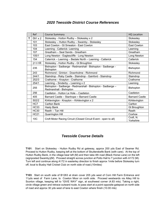## *2020 Teesside District Course References*

|   | Ref             | <b>Course Summary</b>                                                                  | <b>HQ Location</b>     |
|---|-----------------|----------------------------------------------------------------------------------------|------------------------|
| т | 091 x 2         | Stokesley - Hutton Rudby - Stokesley x 2                                               | Stokesley              |
|   | 101             | Stokesley - Hutton Rudby - Swainby - Stokesley                                         | Stokesley              |
|   | 103             | East Cowton - Gt Smeaton - East Cowton                                                 | East Cowton            |
|   | 104             | Leeming - Catterick- Leeming                                                           | Leeming                |
|   | 107             | Greatham - Seal Sands - Greatham                                                       | Greatham               |
|   | 105/1           | Long Newton - Eaglescliffe - Long Newton                                               | Long Newton            |
|   | 154             | Caterrick - Leeming - Bedale North - Leeming - Catterick                               | Catterick              |
|   | 211/1R          | Stokesley - Hutton Rudby - Gt Broughton                                                | Stokesley              |
|   | 235             | Bishopton - Sadberge - Redmarshall - Bishopton - Sadberge -<br><b>Bishopton</b>        | <b>Bishopton</b>       |
|   | 243             | Richmond - Grinton - Downholme - Richmond                                              | Richmond               |
|   | 244/1           | Staindrop - Raby Castle - Staindrop - Gainford - Staindrop                             | Staindrop              |
|   | 252/3           | Crathorne - Knayton - Crathorne                                                        | Crathorne              |
|   | 254/1           | Leeming - Sinderby - Leeming x 2                                                       | Leeming                |
|   | 255             | Bishopton - Sadberge - Redmarshall - Bishopton - Sadberge -<br>Redmarshall - Bishopton | <b>Bishopton</b>       |
|   | 256             | Castleton - Hutton Le Hole - Castleton                                                 | Castleton              |
|   | 405             | Barnard Castle - Stanhope - Barnard Castle                                             | <b>Barnard Castle</b>  |
|   | 502/2           | Kirklevington - Knayton - Kirklevington x 2                                            | Kirklevington          |
|   | HC7             | <b>Carlton Bank</b>                                                                    | Carlton                |
|   | <b>HC33</b>     | <b>Hasty Bank</b>                                                                      | <b>Gt Broughton</b>    |
|   | <b>HC30</b>     | Reeth - Tan Hill                                                                       | Reeth                  |
|   | <b>HC21</b>     | <b>Quarrington Hill</b>                                                                | Coxhoe                 |
|   | 10 <sub>C</sub> | Croft Motor Racing Circuit (Closed Circuit Event - open to all)                        | Croft, N.<br>Yorkshire |

## *Teesside Course Details*

**T101**: Start on Stokesley - Hutton Rudby Rd at gateway, approx 200 yds East of Seamer Rd. Proceed to Hutton Rudby, keeping left at the bottom of Skutterskelfe Bank (with care). At the top of Hutton Rudby Bank, in the village bear left (M) and then take 4th road (Black Horse Lane) on the left (signposted Swainby)(M). Proceed straight across junction at Potto Hall to T junction with A172 (M). Turn left and continue along A172 in easterley direction to finish approx 1mile before Stokesley turn off, local to Busby Hall Cricket Club on north side of road.(10miles)

**T103**: Start on south side of B1263 at drain cover 205 yds west of Corn Hill Farm Entrance and 11yds west of Farm Lane, to Cowton Moor on north side. Proceed westwards via Atley Hill to Scorton village, keeping left to "GIVE WAY" sign, at southwest corner (4.83 mls). Taking a right, circle village green and retrace outward route, to pass start at a point opposite gatepost on north side of road and approx 30 yds west of lane to east Cowton where finish (10.00 mls)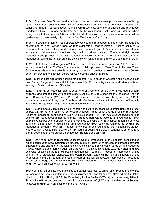**T104:** Start – on Dere Street (road from Londonderry), at gulley access point at west end of bridge approx 8yds from double broken line at junction with A6055. Join southbound A6055 and continuing through 1st roundabout (RAF on A6055Leeming/Gatenby) to encircle 2nd roundabout (Sinderby 4.6mls). Retrace northwards back to 1st roundabout (RAF Leeming/Gatenby) where straight over to finish approx 0.8mls north of start at manhole cover in pavement on west side of carriageway, approximately 15yds north of 2nd Exelby turn-off. (10mls)

**T105/1:** Start at the mark on road approx 800 yds south of roundabout at end of A66 slip road and at west end of Long Newton village, on road signposted Teesside Airport. Proceed south to 1st roundabout and take 1st exit and continue east towards Eaglecliffe/Yarm, where at roundabout encircle and retrace west on outward leg back to 1st roundabout. Continue straight across roundabout and proceed to the next roundabout, where it is encircled to retrace east to the 1st roundabout , taking the 1st exit onto the Long Newton road, to finish approx 200 yds north of start.

**T107:** Start at paint mark on grating 200 metres west of Country Park entrance on A1185. Proceed to round about with A178 (Tees Road) where turn left , proceed on Tees Road to Nuclear Power Station round about where take 4th exit (turn) proceed to rounabout at seal sands and take 3rd exit on A1185 proceed to finish just before rail way crossing bridge (10 miles)

**T256:** Start on east side of unclassified road approx ¼ mile south of Castleton and proceed south over Blakey Ridge and descend into Hutton-le-Hole. Turn at village centre and retrace outward journey to finish local to start. (25 miles)

**T252/3:** Start at de-restriction sign at south end of Crathorne on old A19 (5 yds south of farm entrance) and proceed onto A19 southbound. Continue on A19 to bear left off A19 signed Knayton ¼ ml, Borrowby 1¼ ml, (12.16mls) Proceed up slip road to turn left over bridge crossing A19, to crossroads, where left to rejoin A19 northbound. Continue northwards to finish at end of footpath, just prior to bridge over A19 ( Crathorne/Rounton Road) (25.00 mls)

**T254:** Start on A6055 at expansion joint at south end of bridge, spanning Leeming Bar/Bedale road, approx 0.13mls north of Leeming Services roundabout. Ride South and go over first roundabout (Leeming Services), continuing through 2nd roundabout (RAF on A6055Leeming/Gatenby) to encircle 3rd roundabout (Sinderby 6.5mls). Retrace northwards back to 2nd roundabout (RAF Leeming/Gatenby) where straight over and continue to encircle 1st roundabout (Leeming services 12.8mls) to ride South. straight on at 2nd roundabout (RAF Leeming/ Gatenby) to encircle 3rd roundabout (Sinderby 19.0mls). Retrace northwards to 2nd roundabout (RAF Leeming/Gatenby) where straight over to finish approx 0.4 mls south of Leeming Services roundabout at horse road sign at south end of arco barrier on bridge over Bedale Beck.(25 mls)

**T255:** Start at gateway to Bishopton Sailboard Centre. Proceed through Bishopton, continuing up hill and continue to Great Stainton tee junction. (2.8 mls) Turn left at junction and proceed towards Sadberge, taking 2nd lane on the left and continuing in a southerly direction to top of hill in Sadberge village, where left and then left again onto the C51. Continue along lane towards Norton and take 2nd road junction on the left, signposted Redmarshall (10.4mls). Proceed to Redmarshall village and turn left at crossroads, signposted Bishopton. Repeat 1st lap via Stainton and Sadberge Village to continue along C51, to turn 2nd road junction on the left, signposted Redmarshall. Proceed to Redmarshall village and turn left at crossroads, signposted Bishopton.. Proceed towards Bishopton to turn left to finish local to start area. (25.0 mls)

**T091x 2:** Start on unclassified Stokesley to Seamer road local to gravel pits. Proceed northwards to Seamer (1ml), continuing through village in direction of Hilton for approx 1.9mls, where turn left in direction of Hutton Rudby. (2.88mls) On entering Hutton Rudby, (5.75mls) turn immediately left onto Skutterskelfe Bank and proceed towards Stokesley, turning left (8.57mls) in the direction of Seamer, to start 2nd circuit to finish local to start point (17.4mls) .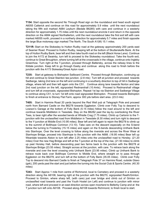**T154:** Start opposite the second No Through Road sign on the roundabout and head south signed A6055 Catterick and continue on this road for approximately 5.9 miles until the next roundabout taking the fifth exit marked A684 Leyburn (Bedale B6285) with care and continue in a westerly direction for approximately 1.75 miles until the next roundabout encircle it and return in the opposite direction on the A684 signed Northallerton, until the next roundabout take the first exit left with care marked A6055 north, proceed in a northerly direction for approximately 5.7 miles and finish opposite the large Blue motorway sign marked The North, The South A1(M) 15.1 miles.

**T211R:** Start on the Stokesley to Hutton Rudby road at the gateway approximately 200 yards east of Seamer Road. Proceed to Hutton Rudby, keeping left at the bottom of Skutterskelfe Bank. At the top of Hutton Rudby Bank, bear left and then take fourth road on the left (Black Horse Lane). Continue to join the A172 at Swainby, turn left to proceed to the Stokesley roundabout. Take the fourth exit, continue to Great Broughton, where turning left at the crossroads in the village, continue onto Ingleby Greenhow. Turn right at the T-junction, proceed through Battersby, across the railway lines to the Kildale junction. Keep left to go through Easby and continue along this road to finish before the junction with the A173 Stokesley/Great Ayton road.

**T235:** Start at gateway to Bishopton Sailboard Centre. Proceed through Bishopton, continuing up hill and continue to Great Stainton tee junction. (2.8 mls) Turn left at junction and proceed towards Sadberge, taking 2nd lane on the left and continuing in a southerly direction to top of hill in Sadberge village, where left and then left again onto the C51. Continue along lane towards Norton and take 2nd road junction on the left, signposted Redmarshall (10.4mls). Proceed to Redmarshall village and turn left at crossroads, signposted Bishopton. Repeat 1st lap via Stainton and Sadberge Village to continue along C51, to turn 1st left onto road signposted Bishopton. Proceed towards Bishopton to finish at entrance to Stoney Flat Farm, approx 300 yds before start area. (23.0 mls)

**T405:** Start in Harmire Road 20 yards beyond the Red Well pub at Telegraph Pole and proceed north from Barnard Castle on the B6278 towards Eggleston. Climb over Folly Top to descend to Lowson's Garage at the bottom of Folly Bank (5.15 miles) follow the road around to the left and continue towards Middleton in Teesdale. Stay on the B6282 past the lay-by overlooking the River Tees, to bear right after the wooded bends at Whistle Crag (7.75 miles). Climb up Carlonin to the Tjunction with the unclassified road from Middleton in Teesdale (8.30 miles) and turn right to descend to the Y-junction at Middle End (10.95 miles). Bear left and left again to rejoin the B6278 to climb up to the summit of Bollihope Common (13.10). Take care on the descent especially on the S-bend below the turning to Frosterley (15.15 miles) and again on the S-bends descending Unthank Bank into Stanhope. Over the level crossing to follow along the riverside and across the River Wear at Stanhope Bridge, proceed into Stanhope to the junction with the A688. (18.95 miles) Bear left up Weardale towards Alston to turn left after 2.25 miles onto the unclassified road to Horsley. (21.20 miles) Over the new Hag Bridge and left at the T-junction at the top of the rise, (21.50 miles) to climb up past Horsley Hall, before descending past two farms back to the junction with the B6278 at Stanhope Bridge (23.55 miles). Straight across at the junction, with care. To retrace back along the riverside and over the level crossing onto Unthank Bank (23.95 miles). Climb up Unthank Bank to retrace route back over Bollihope Common to Middle End, where straight on to pass through Eggleston on the B6278, and turn left at the bottom of Folly Bank (35.05 miles). Climb over Folly Top to descend into Barnard Castle to finish at Telegraph Pole 37 on Harmire Road, outside Glaxo (gsk), 200 yards past the start and just before the turning into the Social Club & Sports Centre. (40.30 miles)

**T243:** Start Approx 1 mile from centre of Richmond, local to Cemetery and proceed in a westerly direction along the A6108, bearing right at the junction with the B6270, signposted Reeth/Grinton. Proceed to Grinton, where sharp left, (with care) just over bridge and climb out of Grinton on unclassified road towards and past the Youth Hostel (on Left) and continue to junction with minor road, where left and proceed in an east direction across open moorland to Bellerby Camp and at the T junction turn left onto A6108. Proceed along A6108 towards Richmond, to finish local to start.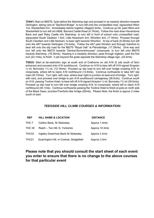**T244/1:** Start on B6279, 3yds before the Staindrop sign and proceed in an easterly direction towards Darlington, taking care at "Spinford Bridge", to turn left onto the unclassified road, signposted Hilton 1ml, Wackerfield 2ml. Immediately before Ingleton village(2.3mls). Continue up hill, past Hilton and Wackerfield to turn left ont A688, Barnard Castle Road (4.15mls). Follow the road down Keverstone Bank and past Raby Castle into Staindrop, to turn left in front of school onto unclassified road, signposted South Cleatlam 1.5ml, Little Newsham 2ml, Whorlton 4ml. (7.15mls) Proceed through South Cleatlam and Little Nesham, to bear right towards Whorlton. At top of bank (9.35mls) turn left onto the A67 towards Darlington (10.4mls). Follow the A67 past Winston and through Gainford to bear left onto the slip road for the B6275 "Royal Oak" at Piercebridge. (17.35mls). Give way and turn left onto the B6275 towards "Denton/Summerhouses" crossroads, to turn left onto B6279 towards Staindrop. (19.35mls) Heading in a westerly direction, pass through Ingleton, past the first turn (22.1mls), to finish 3 yds beyond the grate opposite the Staindrop village sign. (24.4mls)

**T502/2:** Start at de-restriction sign at south end of Crathorne on old A19 (5 yds south of farm entrance) and proceed onto A19 southbound. Continue on A19 to bear left off A19 signed Knayton ¼ ml, Borrowby 1¼ ml, (12.16mls) Proceed up slip road to turn left over bridge crossing A19, to crossroads, where left to rejoin A19 northbound (12.8mls). Continue northwards to take A67 slip road (25.72mls). Turn right, with care, where bear right to junction at west end of bridge. Turn right, with care, and proceed over bridge to join A19 southbound carriageway (26.5mls). Continue south on A19, passing Tontine Hotel, to bear left off A19 signed Knayton 1/4 ml, Borrowby 11/4 ml (39.5mls), Proceed up slip road to turn left over bridge crossing A19, to crossroads, where left to rejoin A19 northbound (40.1mls). Continue northwards passing the Tontine Hotel to finish at pole on north side of the Black Swan Junction/Trenholm Bar bridge (50mls). Please Note: the finish is approx 2 miles south of start.

#### *TEESSIDE HILL CLIMB COURSES & INFORMATION:*

| <b>REF</b>    | <b>HILL NAME &amp; LOCATION</b>         | <b>DISTANCE</b> |
|---------------|-----------------------------------------|-----------------|
| THC 7         | Carlton Bank, Nr Stokesley              | Approx 1.4mls   |
| <b>THC 30</b> | Reeth - Tan Hill, N. Yorkshire          | Approx 10.3mls  |
| THC33         | Ingleby Greenhow Bank Nr Stokesley      | Approx 1.5mls   |
| THC21         | Quarrington Hill, nr Coxhoe, Sedgefield | Approx 1.0ml    |

## **Please note that you should consult the start sheet of each event you enter to ensure that there is no change to the above courses for that particular event**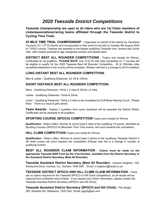# *2020 Teesside District Competitions*

**Teesside championship are open to all riders who are 1st Claim members of clubs/associations/racing teams affiliated through the Teesside district to Cycling Time Trials.** 

**25 MILE TIME TRIAL CHAMPIONSHIP** – Organised on behalf of the district by Cleveland Coureurs CC / VTTA (North) and incorporated in their event to be held on Sunday 9th August 2020 on T252/3 course, Trophies are awarded to the fastest qualifying Teesside man, woman and Junior rider, with medals awarded to age categories winners and fastest team.

**DISTRICT BEST ALL ROUNDER COMPETITIONS** - Trophy and medals for Winner, Certificates for all qualifiers. **PLEASE NOTE**: only 10 & 25 mile rides completed on "t" courses will be eligible to qualify for the 2020 Teesside Best All Rounder Competition. 50 & 100miles rides completed elsewhere in the country will be accepted. (Please note this is a change to 2019 condition)

#### **LONG DISTANT BEST ALL ROUNDER COMPETITION**:

Men & Ladies - Qualifying Distances: 25, 50 & 100mls

#### **SHORT DISTANCE BEST ALL ROUNDER COMPETITION**:

Mens - Qualifying Distances: 10mls x 2 rides & 25mls x 2 rides

Ladies - Qualifying Distances: 10mls & 25mls

Junior – Qualifying Distances: 10mls x 2 rides to be completed at Croft Motor Racing Circuit. Please Note: There is a boys & girls award.

**Team Awards** - Fastest 3 qualifiers from same club/team will be awarded the District Shield. Certificates will be awarded to all qualifiers.

**SPORTING COURSE (SPOCO) COMPETITION** Trophy and medals for Winner

**Qualification** - Rider's (Men, Women & Junior) best 5 rides of the qualifying 10 events, identified as Sporting Courses (SPOCO) & (Mountain Time Trial) events, will count towards this competition

#### **HILL CLIMB COMPETITION** Trophy and medal for Winner

**Qualification -** Rider's (Men, Women & Junior) best 3 climbs of the qualifying Teesside Distriict 4 hill climb events will count towards this competition (Please note this is a change in number of qualifying events)

**BEST ALL ROUNDER CLAIM INFORMATION - Claims must be made on the appropriate Teesside BAR Form by the 31st October, available from the District Secretary or the Assistant District Secretary (Best All Rounder).** 

**Teesside Assistant District Secretary (Best All Rounder)** - Howard Heighton, 109, Ashbourne Drive, Coxhoe, Co., Durham. DH6 4SR. Email: h.heighton@tiscali.co.uk

**TEESSIDE DISTRICT SPOCO AND HILL CLIMB CLAIM INFORMATION -** There are no claims required for the Teesside SPOCO or Hill Climb competitions, as all results will be captured from published result sheets. If you require any further information, please contact the Teesside Assistant District Secretary (SPOCO and Hill Climb)

**Teesside Assistant District Secretary (SPOCO and Hill Climb)** - Phil Wright, 265, Stockton Rd, Hartlepool, TS25 5AU Email: jagryk@aol.com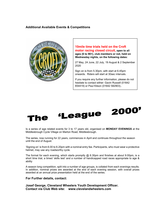#### **Additional Available Events & Competitions**



#### **10mile time trials held on the Croft motor racing closed circuit, open to all ages (6 to 90+), club members or not, held on Wednesday nights, on the following dates:**

27 May, 24 June, 22 July, 19 August & 2 September 2020

Sign on is from 5.30pm, with start at 6.45pm onwards. Riders will start at 30sec intervals.

If you require any further information, please do not hesitate to contact either: Gavin Russell (01642 654419) or Paul Kitson (01642 582903)..



Is a series of age related events for 3 to 17 years old, organised on **MONDAY EVENINGS** at the Middlesbrough Cycle Village on Marton Road, Middlesbrough.

The series, now running for 22 years, commences in April and continues throughout the season until the end of August.

'Signing on' is from 6.00 to 6.20pm with a nominal entry fee. Participants, who must wear a protective helmet, may use any roadworthy cycle.

The format for each evening, which starts promptly  $@$  6.30pm and finishes at about 9.00pm, is a short time trial, a timed 'skills test' and a number of handicapped road races appropriate to age & ability

A season long competition, split into a number of age groups, is collated from each evenings results. In addition, nominal prizes are awarded at the end of each evening session, with overall prizes awarded at an annual prize presentation held at the end of the series.

#### **For Further details, contact:**

**Josef George, Cleveland Wheelers Youth Development Officer. Contact via Club Web site: www.clevelandwheelers.com**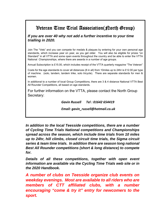# Veteran Time Trial Association(North Group)

## *If you are over 40 why not add a further incentive to your time trialling in 2020.*

Join The "Vets" and you can compete for medals & plaques by entering for your own personal age standards, which increase year on year, as you get older. You will also be eligible for prizes "on Standard" in all VTTA and some open events throughout the country and be able to enter the VTTA National Championships, where there are awards in a number of age groups.

Annual Subscription is £15.00, which includes receipt of the VTTA quarterly magazine "The Veteran"

Costs for the age standards to cover all distances (8 in all) from 10miles up to 24hr is £12.00 per type of machine. (solo, tandem, tandem trike, solo tricycle). There are separate standards for men & women.

In additional to a number of local Group Competitions, there are 3 & 4 distance National VTTA Best All Rounder Competitions, all based on age standards.

For further information on the VTTA, please contact the North Group Secretary:

 *Gavin Russell Tel : 01642 654419* 

*Email: gavin\_russell@hotmail.co.uk* 

*In addition to the local Teesside competitions, there are a number of Cycling Time Trials National competitions and Championships spread across the season, which include time trials from 10 miles up to 24hr, hill climbs, closed circuit time trials, the Sigma circuit series & team time trials. In addition there are season long national Best All Rounder competitions (short & long distance) to compete for.* 

*Details of all these competitions, together with open event information are available via the Cycling Time Trials web site or in the 2020 Handbook.* 

*A number of clubs on Teesside organize club events on weekday evenings. Most are available to all riders who are members of CTT affiliated clubs, with a number encouraging "come & try it" entry for newcomers to the sport.*